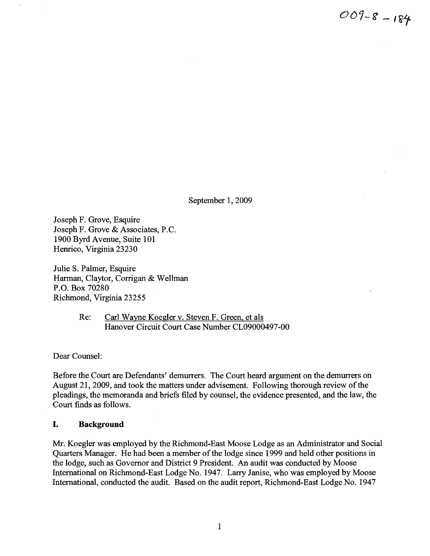September 1, 2009

Joseph F. Grove, Esquire Joseph F. Grove & Associates, P.C. 1900 Byrd Avenue, Suite 101 Henrico, Virginia 23230

Julie S. Palmer, Esquire Harman, Claytor, Corrigan & Wellman P.O. Box 70280 Richmond, Virginia 23255

> Re: Carl Wayne Koegler v. Steven F. Green, et als Hanover Circuit Court Case Number CL09000497-00

Dear Counsel:

Before the Court are Defendants' demurrers. The Court heard argument on the demurrers on August 21,2009, and took the matters under advisement. Following thorough review of the pleadings, the memoranda and briefs filed by counsel, the evidence presented, and the law, the Court finds as follows.

#### **I. Background**

Mr. Koegler was employed by the Richmond-East Moose Lodge as an Administrator and Social Quarters Manager. He had been a member of the lodge since 1999 and held other positions in the lodge, such as Governor and District 9 President. An audit was conducted by Moose International on Richmond-East Lodge No. 1947. Larry Janise, who was employed by Moose International, conducted the audit. Based on the audit report, Richmond-East Lodge No. 1947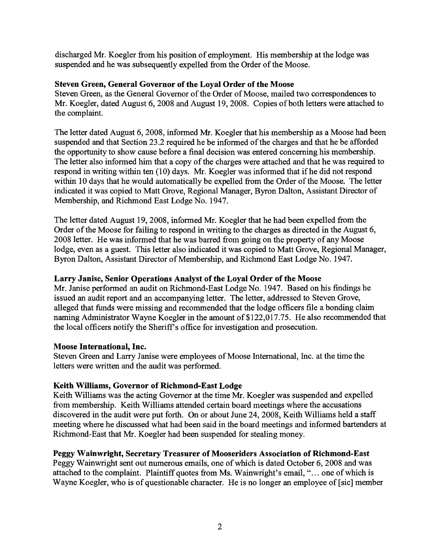discharged Mr. Koegler from his position of employment. His membership at the lodge was suspended and he was subsequently expelled fiom the Order of the Moose.

#### **Steven Green, General Governor of the Loyal Order of the Moose**

Steven Green, as the General Governor of the Order of Moose, mailed two correspondences to Mr. Koegler, dated August 6, 2008 and August 19,2008. Copies of both letters were attached to the complaint.

The letter dated August 6,2008, informed Mr. Koegler that his membership as a Moose had been suspended and that Section 23.2 required he be informed of the charges and that he be afforded the opportunity to show cause before a final decision was entered concerning his membership. The letter also informed him that a copy of the charges were attached and that he was required to respond in writing within ten (10) days. Mr. Koegler was informed that if he did not respond within 10 days that he would automatically be expelled fiom the Order of the Moose. The letter indicated it was copied to Matt Grove, Regional Manager, Byron Dalton, Assistant Director of Membership, and Richmond East Lodge No. 1947.

The letter dated August 19,2008, informed Mr. Koegler that he had been expelled from the Order of the Moose for failing to respond in writing to the charges as directed in the August 6, 2008 letter. He was informed that he was barred fiom going on the property of any Moose lodge, even as a guest. This letter also indicated it was copied to Matt Grove, Regional Manager, Byron Dalton, Assistant Director of Membership, and Richmond East Lodge No. 1947.

#### **Larry Janise, Senior Operations Analyst of the Loyal Order of the Moose**

Mr. Janise performed an audit on Richmond-East Lodge No. 1947. Based on his findings he issued **an** audit report and an accompanying letter. The letter, addressed to Steven Grove, alleged that funds were missing and recommended that the lodge officers file a bonding claim naming Administrator Wayne Koegler in the amount of \$122,017.75. He also recommended that the local officers notify the Sheriff's office for investigation and prosecution.

#### **Moose International, Inc.**

Steven Green and Larry Janise were employees of Moose International, Inc. at the time the letters were written and the audit was performed.

# **Keith Williams, Governor of Richmond-East Lodge**

Keith Williams was the acting Governor at the time Mr. Koegler was suspended and expelled fiom membership. Keith Williams attended certain board meetings where the accusations discovered in the audit were put forth. On or about June 24,2008, Keith Williams held a staff meeting where he discussed what had been said in the board meetings and informed bartenders at Richmond-East that Mr. Koegler had been suspended for stealing money.

# **Peggy Wainwright, Secretary Treasurer of Mooseriders Association of Richmond-East**

Peggy Wainwright sent out numerous emails, one of which is dated October 6,2008 and was attached to the complaint. Plaintiff quotes from Ms. Wainwright's email, "... one of which is Wayne Koegler, who is of questionable character. He is no longer **an** employee of [sic] member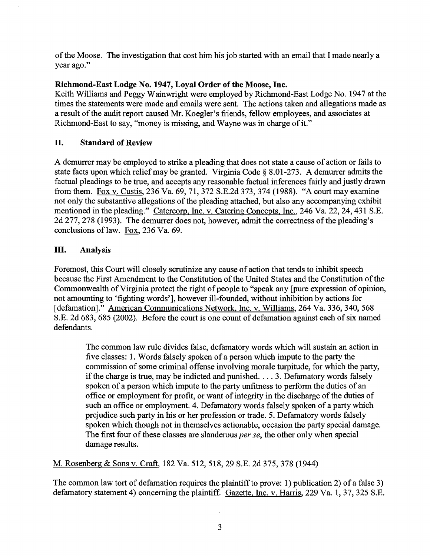of the Moose. The investigation that cost him his job started with an email that I made nearly a year ago."

# **Richmond-East Lodge No. 1947, Loyal Order of the Moose, Inc.**

Keith Williams and Peggy Wainwright were employed by Richmond-East Lodge No. 1947 at the times the statements were made and emails were sent. The actions taken and allegations made as a result of the audit report caused Mr. Koegler's friends, fellow employees, and associates at Richmond-East to say, "money is missing, and Wayne was in charge of it."

# **11. Standard of Review**

A demurrer may be employed to strike a pleading that does not state a cause of action or fails to state facts upon which relief may be granted. Virginia Code **8** 8.01-273. A demurrer admits the factual pleadings to be true, and accepts any reasonable factual inferences fairly and justly drawn from them. Fox v. Custis, 236 Va. 69, 71, 372 S.E.2d 373, 374 (1988). "A court may examine not only the substantive allegations of the pleading attached, but also any accompanying exhibit mentioned in the pleading." Catercorp, Inc. v. Catering Concepts, Inc., 246 Va. 22, 24, 431 S.E. 2d 277, 278 (1993). The demurrer does not, however, admit the correctness of the pleading's conclusions of law. **Fox,** 236 Va. 69.

# **111. Analysis**

Foremost, this Court will closely scrutinize any cause of action that tends to inhibit speech because the First Amendment to the Constitution of the United States and the Constitution of the Commonwealth of Virginia protect the right of people to "speak any [pure expression of opinion, not amounting to 'fighting words'], however ill-founded, without inhibition by actions for [defamation]." American Communications Network, Inc. v. Williams, 264 Va. 336, 340, 568 S.E. 2d 683, 685 (2002). Before the court is one count of defamation against each of six named defendants.

The common law rule divides false, defamatory words which will sustain an action in five classes: 1. Words falsely spoken of a person which impute to the party the commission of some criminal offense involving morale turpitude, for which the party, if the charge is true, may be indicted and punished. . . . 3. Defamatory words falsely spoken of a person which impute to the party unfitness to perform the duties of an office or employment for profit, or want of integrity in the discharge of the duties of such an office or employment. 4. Defamatory words falsely spoken of a party which prejudice such party in his or her profession or trade. 5. Defamatory words falsely spoken which though not in themselves actionable, occasion the party special damage. The first four of these classes are slanderous *per se*, the other only when special damage results.

M. Rosenberg & Sons v. Craft, 182 Va. 512, 518, 29 S.E. 2d 375, 378 (1944)

The common law tort of defamation requires the plaintiff to prove: 1) publication 2) of a false 3) defamatory statement 4) concerning the plaintiff. Gazette, Inc. v. Harris, 229 Va. 1, 37, 325 S.E.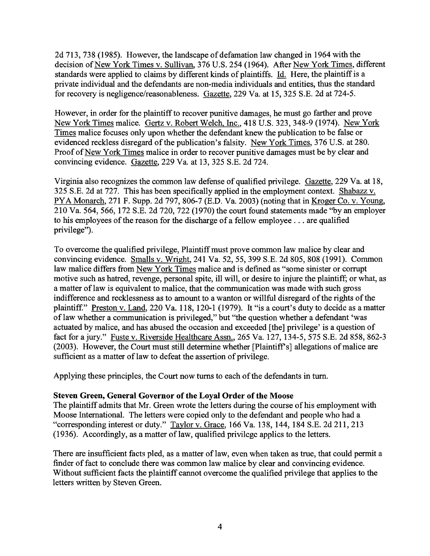2d 713, 738 (1985). However, the landscape of defamation law changed in 1964 with the decision of New York Times v. Sullivan, 376 U.S. 254 (1964). After New York Times, different standards were applied to claims by different kinds of plaintiffs. Id. Here, the plaintiff is a private individual and the defendants are non-media individuals and entities, thus the standard for recovery is negligence/reasonableness. Gazette, 229 Va. at 15,325 S.E. 2d at 724-5.

However, in order for the plaintiff to recover punitive damages, he must go farther and prove New York Times malice. Gertz v. Robert Welch, Inc., 418 U.S. 323, 348-9 (1974). New York Times malice focuses only upon whether the defendant knew the publication to be false or evidenced reckless disregard of the publication's falsity. New York Times, 376 U.S. at 280. Proof of New York Times malice in order to recover punitive damages must be by clear and convincing evidence. Gazette, 229 Va. at 13, 325 S.E. 2d 724.

Virginia also recognizes the common law defense of qualified privilege. Gazette, 229 Va. at 18, 325 S.E. 2d at 727. This has been specifically applied in the employment context. Shabazz v. PYA Monarch, 271 F. Supp. 2d 797, 806-7 (E.D. Va. 2003) (noting that in Kroger Co. v. Young, 210 Va. 564, 566, 172 S.E. 2d 720, 722 (1970) the court found statements made "by an employer to his employees of the reason for the discharge of a fellow employee . . . are qualified privilege").

To overcome the qualified privilege, Plaintiff must prove common law malice by clear and convincing evidence. Smalls v. Wright, 241 Va. 52,55,399 S.E. 2d 805, 808 (1991). Common law malice differs from New York Times malice and is defined as "some sinister or corrupt motive such as hatred, revenge, personal spite, ill will, or desire to injure the plaintiff; or what, as a matter of law is equivalent to malice, that the communication was made with such gross indifference and recklessness as to amount to a wanton or willful disregard of the rights of the plaintiff." Preston v. Land, 220 Va. 118, 120-1 (1979). It "is a court's duty to dccide as a matter of law whether a communication is privileged," but "the question whether a defendant 'was actuated by malice, and has abused the occasion and exceeded [the] privilege' is a question of fact for a jury." Fuste v. Riverside Healthcare Assn., 265 Va. 127, 134-5,575 S.E. 2d 858,862-3 (2003). However, the Court must still determine whether [Plaintiff's] allegations of malice are sufficient as a matter of law to defeat the assertion of privilege.

Applying these principles, the Court now turns to each of the defendants in turn.

#### **Steven Green, General Governor of the Loyal Order of the Moose**

The plaintiff admits that Mr. Green wrote the letters during the course of his employment with Moose International. The letters were copied only to the defendant and people who had a "corresponding interest or duty." Taylor v. Grace,  $166 \text{ Va}$ . 138, 144, 184 S.E. 2d 211, 213 (1 936). Accordingly, as a matter of law, qualified privilcgc applics to the letters.

There are insufficient facts pled, as a matter of law, even when taken as true, that could permit a finder of fact to conclude there was common law malice by clear and convincing evidence. Without sufficient facts the plaintiff cannot overcome the qualified privilege that applies to the letters written by Steven Green.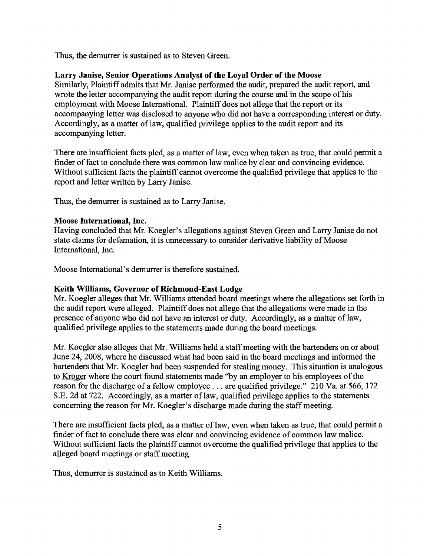Thus, the demurrer is sustained as to Steven Green.

### **Larry Janise, Senior Operations Analyst of the Loyal Order of the Moose**

Similarly, Plaintiff admits that Mr. Janise performed the audit, prepared the audit report, and wrote the letter accompanying the audit report during the course and in the scope of his employment with Moose International. Plaintiff does not allege that the report or its accompanying letter was disclosed to anyone who did not have a corresponding interest or duty. Accordingly, as a matter of law, qualified privilege applies to the audit report and its accompanying letter.

There are insufficient facts pled, as a matter of law, even when taken as true, that could permit a finder of fact to conclude there was common law malice by clear and convincing evidence. Without sufficient facts the plaintiff cannot overcome the qualified privilege that applies to the report and letter written by Larry Janise.

Thus, the demurrer is sustained as to Larry Janise.

#### **Moose International, Inc.**

Having concluded that Mr. Koegler's allegations against Steven Green and Larry Janise do not state claims for defamation, it is unnecessary to consider derivative liability of Moose International, Inc.

Moose International's demurrer is therefore sustained.

# **Keith Williams, Governor of Richmond-East Lodge**

Mr. Koegler alleges that Mr. Williams attended board meetings where the allegations set forth in the audit report were alleged. Plaintiff does not allege that the allegations were made in the presence of anyone who did not have an interest or duty. Accordingly, as a matter of law, qualified privilege applies to the statements made during the board meetings.

Mr. Koegler also alleges that Mr. Williams held a staff meeting with the bartenders on or about June 24,2008, where he discussed what had been said in the board meetings and informed the bartenders that Mr. Koegler had been suspended for stealing money. This situation is analogous to Kroger where the court found statements made "by an employer to his employees of the reason for the discharge of a fellow employee  $\dots$  are qualified privilege." 210 Va. at 566, 172 S.E. 2d at 722. Accordingly, as a matter of law, qualified privilege applies to the statements concerning the reason for Mr. Koegler's discharge made during the staff meeting.

There are insufficient facts pled, as a matter of law, even when taken as true, that could permit a finder of fact to conclude there was clcar and convincing evidence of common law malicc. Without sufficient facts the plaintiff cannot overcome the qualified privilege that applies to the alleged board meetings or staff meeting.

Thus, demurrer is sustained as to Keith Williams.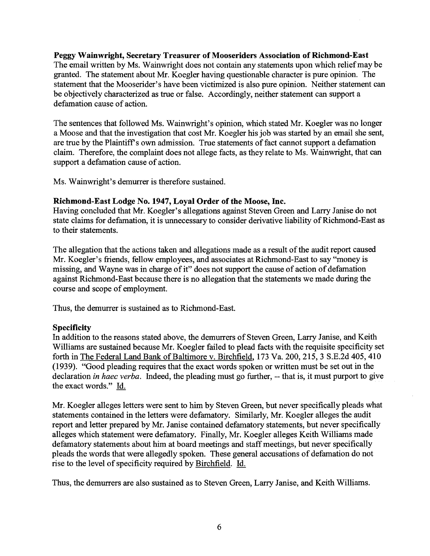#### **Peggy Wainwright, Secretary Treasurer of Mooseriders Association of Richmond-East**

The email written by Ms. Wainwright does not contain any statements upon which relief may be granted. The statement about Mr. Koegler having questionable character is pure opinion. The statement that the Mooserider's have been victimized is also pure opinion. Neither statement can be objectively characterized as true or false. Accordingly, neither statement can support a defamation cause of action.

The sentences that followed Ms. Wainwright's opinion, which stated Mr. Koegler was no longer a Moose and that the investigation that cost Mr. Koegler his job was started by an email she sent, are true by the Plaintiff's own admission. True statements of fact cannot support a defamation claim. Therefore, the complaint does not allege facts, as they relate to Ms. Wainwright, that can support a defamation cause of action.

Ms. Wainwright's demurrer is therefore sustained.

#### **Richmond-East Lodge No. 1947, Loyal Order of the Moose, Inc.**

Having concluded that Mr. Koegler's allegations against Steven Green and Larry Janise do not state claims for defamation, it is unnecessary to consider derivative liability of Richmond-East as to their statements.

The allegation that the actions taken and allegations made as a result of the audit report caused Mr. Koegler's friends, fellow employees, and associates at Richmond-East to say "money is missing, and Wayne was in charge of it" does not support the cause of action of defamation against Richmond-East because there is no allegation that the statements we made during the course and scope of employment.

Thus, the demurrer is sustained as to Richmond-East.

# **Specificity**

In addition to the reasons stated above, the demurrers of Steven Green, Larry Janise, and Keith Williams are sustained because Mr. Koegler failed to plead facts with the requisite specificity set forth in The Federal Land Bank of Baltimore v. Birchfield, 173 Va. 200, 215, 3 S.E.2d 405, 410 (1939). "Good pleading requires that the exact words spoken or written must be set out in the declaration in *haec verba.* Indeed, the pleading must go further, -- that is, it must purport to give the exact words." Id.

Mr. Koegler alleges letters were sent to him by Steven Green, but never specifically pleads what statements contained in the letters were defamatory. Similarly, Mr. Koegler alleges the audit report and letter prepared by Mr. Janise contained defamatory statements, but never specifically alleges which statement were defamatory. Finally, Mr. Koegler alleges Keith Williams made defamatory statements about him at board meetings and staff meetings, but never specifically pleads the words that were allegedly spoken. These general accusations of defamation do not rise to the level of specificity required by Birchfield. Id.

Thus, the demurrers are also sustained as to Steven Green, Larry Janise, and Keith Williams.